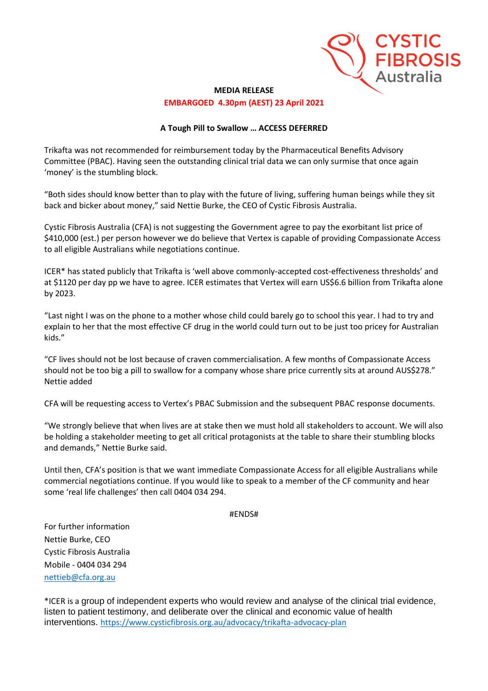

## **MEDIA RELEASE EMBARGOED 4.30pm (AEST) 23 April 2021**

## **A Tough Pill to Swallow … ACCESS DEFERRED**

Trikafta was not recommended for reimbursement today by the Pharmaceutical Benefits Advisory Committee (PBAC). Having seen the outstanding clinical trial data we can only surmise that once again 'money' is the stumbling block.

"Both sides should know better than to play with the future of living, suffering human beings while they sit back and bicker about money," said Nettie Burke, the CEO of Cystic Fibrosis Australia.

Cystic Fibrosis Australia (CFA) is not suggesting the Government agree to pay the exorbitant list price of \$410,000 (est.) per person however we do believe that Vertex is capable of providing Compassionate Access to all eligible Australians while negotiations continue.

ICER\* has stated publicly that Trikafta is 'well above commonly-accepted cost-effectiveness thresholds' and at \$1120 per day pp we have to agree. ICER estimates that Vertex will earn US\$6.6 billion from Trikafta alone by 2023.

"Last night I was on the phone to a mother whose child could barely go to school this year. I had to try and explain to her that the most effective CF drug in the world could turn out to be just too pricey for Australian kids."

"CF lives should not be lost because of craven commercialisation. A few months of Compassionate Access should not be too big a pill to swallow for a company whose share price currently sits at around AUS\$278." Nettie added

CFA will be requesting access to Vertex's PBAC Submission and the subsequent PBAC response documents.

"We strongly believe that when lives are at stake then we must hold all stakeholders to account. We will also be holding a stakeholder meeting to get all critical protagonists at the table to share their stumbling blocks and demands," Nettie Burke said.

Until then, CFA's position is that we want immediate Compassionate Access for all eligible Australians while commercial negotiations continue. If you would like to speak to a member of the CF community and hear some 'real life challenges' then call 0404 034 294.

## #ENDS#

For further information Nettie Burke, CEO Cystic Fibrosis Australia Mobile - 0404 034 294 [nettieb@cfa.org.au](mailto:nettieb@cfa.org.au)

\*ICER is a group of independent experts who would review and analyse of the clinical trial evidence, listen to patient testimony, and deliberate over the clinical and economic value of health interventions. <https://www.cysticfibrosis.org.au/advocacy/trikafta-advocacy-plan>